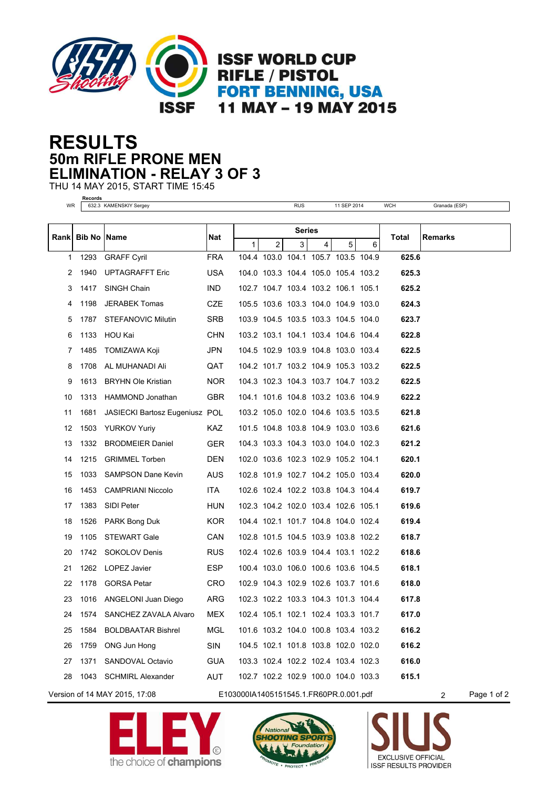

## **50m RIFLE PRONE MEN RESULTS ELIMINATION - RELAY 3 OF 3**

THU 14 MAY 2015, START TIME 15:45

**Records**

| WR                            |                     | 632.3 KAMENSKIY Sergey         |                                        |               |                | <b>RUS</b>                          |                | 11 SEP 2014 |   | <b>WCH</b> | Granada (ESP)  |             |
|-------------------------------|---------------------|--------------------------------|----------------------------------------|---------------|----------------|-------------------------------------|----------------|-------------|---|------------|----------------|-------------|
|                               |                     |                                |                                        |               |                |                                     |                |             |   |            |                |             |
| Rankl                         | <b>Bib No IName</b> |                                | Nat                                    | <b>Series</b> |                |                                     |                |             |   | Total      | <b>Remarks</b> |             |
|                               |                     |                                |                                        | $\mathbf{1}$  | $\overline{2}$ | 3 <sup>1</sup>                      | $\overline{4}$ | 5           | 6 |            |                |             |
| 1                             | 1293                | <b>GRAFF Cyril</b>             | <b>FRA</b>                             |               |                | 104.4 103.0 104.1 105.7 103.5 104.9 |                |             |   | 625.6      |                |             |
| 2                             | 1940                | <b>UPTAGRAFFT Eric</b>         | <b>USA</b>                             |               |                | 104.0 103.3 104.4 105.0 105.4 103.2 |                |             |   | 625.3      |                |             |
| 3                             | 1417                | SINGH Chain                    | IND.                                   |               |                | 102.7 104.7 103.4 103.2 106.1 105.1 |                |             |   | 625.2      |                |             |
| 4                             | 1198                | <b>JERABEK Tomas</b>           | <b>CZE</b>                             |               |                | 105.5 103.6 103.3 104.0 104.9 103.0 |                |             |   | 624.3      |                |             |
| 5                             | 1787                | STEFANOVIC Milutin             | <b>SRB</b>                             |               |                | 103.9 104.5 103.5 103.3 104.5 104.0 |                |             |   | 623.7      |                |             |
| 6                             | 1133                | HOU Kai                        | <b>CHN</b>                             |               |                | 103.2 103.1 104.1 103.4 104.6 104.4 |                |             |   | 622.8      |                |             |
| 7                             | 1485                | TOMIZAWA Koji                  | JPN                                    |               |                | 104.5 102.9 103.9 104.8 103.0 103.4 |                |             |   | 622.5      |                |             |
| 8                             | 1708                | AL MUHANADI Ali                | QAT                                    |               |                | 104.2 101.7 103.2 104.9 105.3 103.2 |                |             |   | 622.5      |                |             |
| 9                             | 1613                | <b>BRYHN Ole Kristian</b>      | NOR.                                   |               |                | 104.3 102.3 104.3 103.7 104.7 103.2 |                |             |   | 622.5      |                |             |
| 10                            | 1313                | HAMMOND Jonathan               | <b>GBR</b>                             |               |                | 104.1 101.6 104.8 103.2 103.6 104.9 |                |             |   | 622.2      |                |             |
| 11                            | 1681                | JASIECKI Bartosz Eugeniusz POL |                                        |               |                | 103.2 105.0 102.0 104.6 103.5 103.5 |                |             |   | 621.8      |                |             |
| 12                            | 1503                | <b>YURKOV Yuriy</b>            | KAZ.                                   |               |                | 101.5 104.8 103.8 104.9 103.0 103.6 |                |             |   | 621.6      |                |             |
| 13                            | 1332                | <b>BRODMEIER Daniel</b>        | <b>GER</b>                             |               |                | 104.3 103.3 104.3 103.0 104.0 102.3 |                |             |   | 621.2      |                |             |
| 14                            | 1215                | <b>GRIMMEL Torben</b>          | <b>DEN</b>                             |               |                | 102.0 103.6 102.3 102.9 105.2 104.1 |                |             |   | 620.1      |                |             |
| 15                            | 1033                | <b>SAMPSON Dane Kevin</b>      | AUS                                    |               |                | 102.8 101.9 102.7 104.2 105.0 103.4 |                |             |   | 620.0      |                |             |
| 16                            | 1453                | <b>CAMPRIANI Niccolo</b>       | ITA.                                   |               |                | 102.6 102.4 102.2 103.8 104.3 104.4 |                |             |   | 619.7      |                |             |
| 17                            | 1383                | SIDI Peter                     | HUN                                    |               |                | 102.3 104.2 102.0 103.4 102.6 105.1 |                |             |   | 619.6      |                |             |
| 18                            | 1526                | PARK Bong Duk                  | KOR.                                   |               |                | 104.4 102.1 101.7 104.8 104.0 102.4 |                |             |   | 619.4      |                |             |
| 19                            | 1105                | <b>STEWART Gale</b>            | <b>CAN</b>                             |               |                | 102.8 101.5 104.5 103.9 103.8 102.2 |                |             |   | 618.7      |                |             |
| 20                            | 1742                | SOKOLOV Denis                  | <b>RUS</b>                             |               |                | 102.4 102.6 103.9 104.4 103.1 102.2 |                |             |   | 618.6      |                |             |
| 21                            |                     | 1262 LOPEZ Javier              | ESP.                                   |               |                | 100.4 103.0 106.0 100.6 103.6 104.5 |                |             |   | 618.1      |                |             |
| 22                            | 1178                | <b>GORSA Petar</b>             | <b>CRO</b>                             |               |                | 102.9 104.3 102.9 102.6 103.7 101.6 |                |             |   | 618.0      |                |             |
| 23                            | 1016                | ANGELONI Juan Diego            | ARG                                    |               |                | 102.3 102.2 103.3 104.3 101.3 104.4 |                |             |   | 617.8      |                |             |
| 24                            |                     | 1574 SANCHEZ ZAVALA Alvaro     | MEX                                    |               |                | 102.4 105.1 102.1 102.4 103.3 101.7 |                |             |   | 617.0      |                |             |
| 25                            | 1584                | <b>BOLDBAATAR Bishrel</b>      | <b>MGL</b>                             |               |                | 101.6 103.2 104.0 100.8 103.4 103.2 |                |             |   | 616.2      |                |             |
| 26                            | 1759                | ONG Jun Hong                   | SIN                                    |               |                | 104.5 102.1 101.8 103.8 102.0 102.0 |                |             |   | 616.2      |                |             |
| 27                            | 1371                | SANDOVAL Octavio               | <b>GUA</b>                             |               |                | 103.3 102.4 102.2 102.4 103.4 102.3 |                |             |   | 616.0      |                |             |
| 28                            |                     | 1043 SCHMIRL Alexander         | AUT                                    |               |                | 102.7 102.2 102.9 100.0 104.0 103.3 |                |             |   | 615.1      |                |             |
| Version of 14 MAY 2015, 17:08 |                     |                                | E103000IA1405151545.1.FR60PR.0.001.pdf |               |                |                                     |                |             |   |            | $\overline{2}$ | Page 1 of 2 |